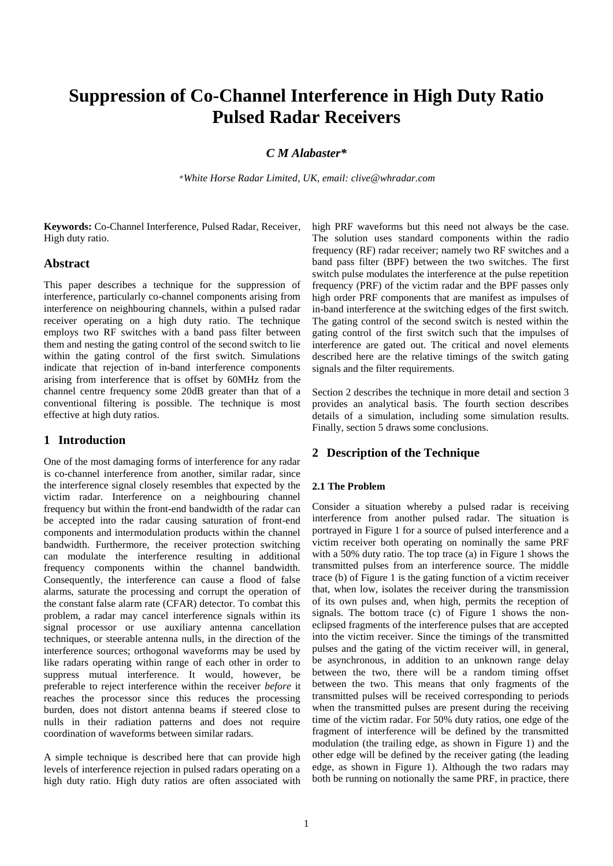# **Suppression of Co-Channel Interference in High Duty Ratio Pulsed Radar Receivers**

# *C M Alabaster\**

*\*White Horse Radar Limited, UK, email: clive@whradar.com*

**Keywords:** Co-Channel Interference, Pulsed Radar, Receiver, High duty ratio.

## **Abstract**

This paper describes a technique for the suppression of interference, particularly co-channel components arising from interference on neighbouring channels, within a pulsed radar receiver operating on a high duty ratio. The technique employs two RF switches with a band pass filter between them and nesting the gating control of the second switch to lie within the gating control of the first switch. Simulations indicate that rejection of in-band interference components arising from interference that is offset by 60MHz from the channel centre frequency some 20dB greater than that of a conventional filtering is possible. The technique is most effective at high duty ratios.

# **1 Introduction**

One of the most damaging forms of interference for any radar is co-channel interference from another, similar radar, since the interference signal closely resembles that expected by the victim radar. Interference on a neighbouring channel frequency but within the front-end bandwidth of the radar can be accepted into the radar causing saturation of front-end components and intermodulation products within the channel bandwidth. Furthermore, the receiver protection switching can modulate the interference resulting in additional frequency components within the channel bandwidth. Consequently, the interference can cause a flood of false alarms, saturate the processing and corrupt the operation of the constant false alarm rate (CFAR) detector. To combat this problem, a radar may cancel interference signals within its signal processor or use auxiliary antenna cancellation techniques, or steerable antenna nulls, in the direction of the interference sources; orthogonal waveforms may be used by like radars operating within range of each other in order to suppress mutual interference. It would, however, be preferable to reject interference within the receiver *before* it reaches the processor since this reduces the processing burden, does not distort antenna beams if steered close to nulls in their radiation patterns and does not require coordination of waveforms between similar radars.

A simple technique is described here that can provide high levels of interference rejection in pulsed radars operating on a high duty ratio. High duty ratios are often associated with high PRF waveforms but this need not always be the case. The solution uses standard components within the radio frequency (RF) radar receiver; namely two RF switches and a band pass filter (BPF) between the two switches. The first switch pulse modulates the interference at the pulse repetition frequency (PRF) of the victim radar and the BPF passes only high order PRF components that are manifest as impulses of in-band interference at the switching edges of the first switch. The gating control of the second switch is nested within the gating control of the first switch such that the impulses of interference are gated out. The critical and novel elements described here are the relative timings of the switch gating signals and the filter requirements.

Section 2 describes the technique in more detail and section 3 provides an analytical basis. The fourth section describes details of a simulation, including some simulation results. Finally, section 5 draws some conclusions.

## **2 Description of the Technique**

#### **2.1 The Problem**

Consider a situation whereby a pulsed radar is receiving interference from another pulsed radar. The situation is portrayed in [Figure 1](#page-1-0) for a source of pulsed interference and a victim receiver both operating on nominally the same PRF with a 50% duty ratio. The top trace (a) in [Figure 1](#page-1-0) shows the transmitted pulses from an interference source. The middle trace (b) o[f Figure 1](#page-1-0) is the gating function of a victim receiver that, when low, isolates the receiver during the transmission of its own pulses and, when high, permits the reception of signals. The bottom trace (c) of [Figure 1](#page-1-0) shows the noneclipsed fragments of the interference pulses that are accepted into the victim receiver. Since the timings of the transmitted pulses and the gating of the victim receiver will, in general, be asynchronous, in addition to an unknown range delay between the two, there will be a random timing offset between the two. This means that only fragments of the transmitted pulses will be received corresponding to periods when the transmitted pulses are present during the receiving time of the victim radar. For 50% duty ratios, one edge of the fragment of interference will be defined by the transmitted modulation (the trailing edge, as shown in [Figure 1\)](#page-1-0) and the other edge will be defined by the receiver gating (the leading edge, as shown in [Figure 1\)](#page-1-0). Although the two radars may both be running on notionally the same PRF, in practice, there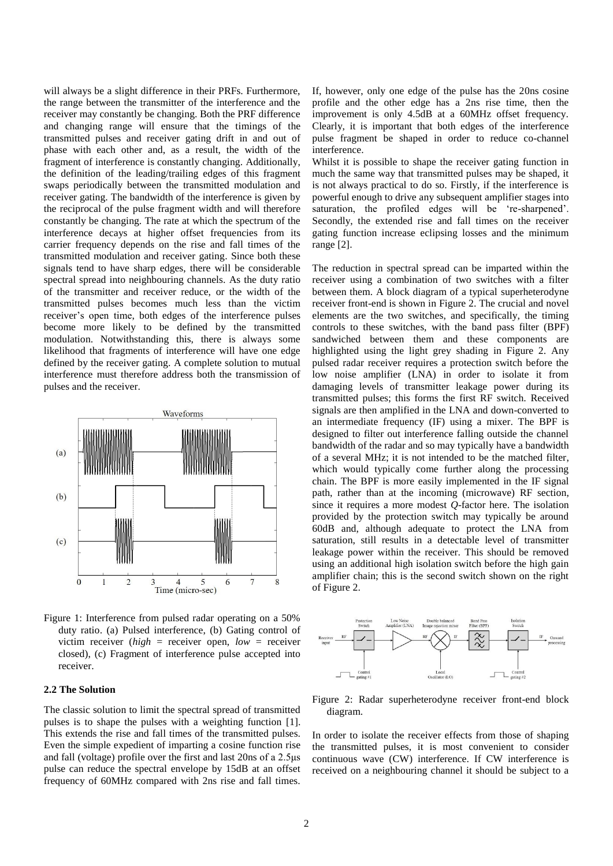will always be a slight difference in their PRFs. Furthermore, the range between the transmitter of the interference and the receiver may constantly be changing. Both the PRF difference and changing range will ensure that the timings of the transmitted pulses and receiver gating drift in and out of phase with each other and, as a result, the width of the fragment of interference is constantly changing. Additionally, the definition of the leading/trailing edges of this fragment swaps periodically between the transmitted modulation and receiver gating. The bandwidth of the interference is given by the reciprocal of the pulse fragment width and will therefore constantly be changing. The rate at which the spectrum of the interference decays at higher offset frequencies from its carrier frequency depends on the rise and fall times of the transmitted modulation and receiver gating. Since both these signals tend to have sharp edges, there will be considerable spectral spread into neighbouring channels. As the duty ratio of the transmitter and receiver reduce, or the width of the transmitted pulses becomes much less than the victim receiver's open time, both edges of the interference pulses become more likely to be defined by the transmitted modulation. Notwithstanding this, there is always some likelihood that fragments of interference will have one edge defined by the receiver gating. A complete solution to mutual interference must therefore address both the transmission of pulses and the receiver.



<span id="page-1-0"></span>Figure 1: Interference from pulsed radar operating on a 50% duty ratio. (a) Pulsed interference, (b) Gating control of victim receiver (*high* = receiver open, *low* = receiver closed), (c) Fragment of interference pulse accepted into receiver.

#### **2.2 The Solution**

The classic solution to limit the spectral spread of transmitted pulses is to shape the pulses with a weighting function [\[1\].](#page-5-0) This extends the rise and fall times of the transmitted pulses. Even the simple expedient of imparting a cosine function rise and fall (voltage) profile over the first and last 20ns of a 2.5μs pulse can reduce the spectral envelope by 15dB at an offset frequency of 60MHz compared with 2ns rise and fall times.

If, however, only one edge of the pulse has the 20ns cosine profile and the other edge has a 2ns rise time, then the improvement is only 4.5dB at a 60MHz offset frequency. Clearly, it is important that both edges of the interference pulse fragment be shaped in order to reduce co-channel interference.

Whilst it is possible to shape the receiver gating function in much the same way that transmitted pulses may be shaped, it is not always practical to do so. Firstly, if the interference is powerful enough to drive any subsequent amplifier stages into saturation, the profiled edges will be 're-sharpened'. Secondly, the extended rise and fall times on the receiver gating function increase eclipsing losses and the minimum range [\[2\].](#page-5-1)

The reduction in spectral spread can be imparted within the receiver using a combination of two switches with a filter between them. A block diagram of a typical superheterodyne receiver front-end is shown in [Figure 2.](#page-1-1) The crucial and novel elements are the two switches, and specifically, the timing controls to these switches, with the band pass filter (BPF) sandwiched between them and these components are highlighted using the light grey shading in [Figure 2.](#page-1-1) Any pulsed radar receiver requires a protection switch before the low noise amplifier (LNA) in order to isolate it from damaging levels of transmitter leakage power during its transmitted pulses; this forms the first RF switch. Received signals are then amplified in the LNA and down-converted to an intermediate frequency (IF) using a mixer. The BPF is designed to filter out interference falling outside the channel bandwidth of the radar and so may typically have a bandwidth of a several MHz; it is not intended to be the matched filter, which would typically come further along the processing chain. The BPF is more easily implemented in the IF signal path, rather than at the incoming (microwave) RF section, since it requires a more modest *Q*-factor here. The isolation provided by the protection switch may typically be around 60dB and, although adequate to protect the LNA from saturation, still results in a detectable level of transmitter leakage power within the receiver. This should be removed using an additional high isolation switch before the high gain amplifier chain; this is the second switch shown on the right of [Figure 2.](#page-1-1)



<span id="page-1-1"></span>Figure 2: Radar superheterodyne receiver front-end block diagram.

In order to isolate the receiver effects from those of shaping the transmitted pulses, it is most convenient to consider continuous wave (CW) interference. If CW interference is received on a neighbouring channel it should be subject to a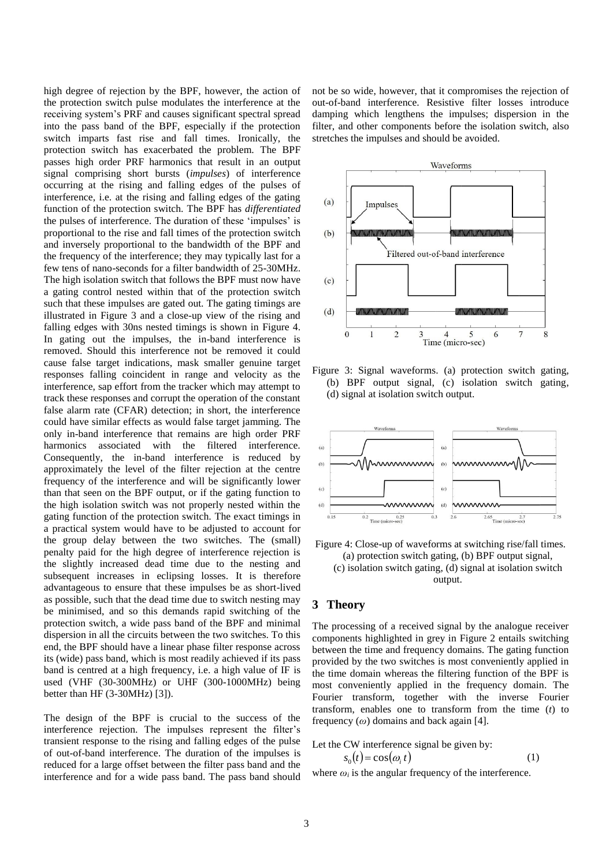high degree of rejection by the BPF, however, the action of the protection switch pulse modulates the interference at the receiving system's PRF and causes significant spectral spread into the pass band of the BPF, especially if the protection switch imparts fast rise and fall times. Ironically, the protection switch has exacerbated the problem. The BPF passes high order PRF harmonics that result in an output signal comprising short bursts (*impulses*) of interference occurring at the rising and falling edges of the pulses of interference, i.e. at the rising and falling edges of the gating function of the protection switch. The BPF has *differentiated* the pulses of interference. The duration of these 'impulses' is proportional to the rise and fall times of the protection switch and inversely proportional to the bandwidth of the BPF and the frequency of the interference; they may typically last for a few tens of nano-seconds for a filter bandwidth of 25-30MHz. The high isolation switch that follows the BPF must now have a gating control nested within that of the protection switch such that these impulses are gated out. The gating timings are illustrated in [Figure 3](#page-2-0) and a close-up view of the rising and falling edges with 30ns nested timings is shown in [Figure 4.](#page-2-1) In gating out the impulses, the in-band interference is removed. Should this interference not be removed it could cause false target indications, mask smaller genuine target responses falling coincident in range and velocity as the interference, sap effort from the tracker which may attempt to track these responses and corrupt the operation of the constant false alarm rate (CFAR) detection; in short, the interference could have similar effects as would false target jamming. The only in-band interference that remains are high order PRF harmonics associated with the filtered interference. Consequently, the in-band interference is reduced by approximately the level of the filter rejection at the centre frequency of the interference and will be significantly lower than that seen on the BPF output, or if the gating function to the high isolation switch was not properly nested within the gating function of the protection switch. The exact timings in a practical system would have to be adjusted to account for the group delay between the two switches. The (small) penalty paid for the high degree of interference rejection is the slightly increased dead time due to the nesting and subsequent increases in eclipsing losses. It is therefore advantageous to ensure that these impulses be as short-lived as possible, such that the dead time due to switch nesting may be minimised, and so this demands rapid switching of the protection switch, a wide pass band of the BPF and minimal dispersion in all the circuits between the two switches. To this end, the BPF should have a linear phase filter response across its (wide) pass band, which is most readily achieved if its pass band is centred at a high frequency, i.e. a high value of IF is used (VHF (30-300MHz) or UHF (300-1000MHz) being better than HF (3-30MHz) [\[3\]\)](#page-5-2).

The design of the BPF is crucial to the success of the interference rejection. The impulses represent the filter's transient response to the rising and falling edges of the pulse of out-of-band interference. The duration of the impulses is reduced for a large offset between the filter pass band and the interference and for a wide pass band. The pass band should not be so wide, however, that it compromises the rejection of out-of-band interference. Resistive filter losses introduce damping which lengthens the impulses; dispersion in the filter, and other components before the isolation switch, also stretches the impulses and should be avoided.



<span id="page-2-0"></span>Figure 3: Signal waveforms. (a) protection switch gating, (b) BPF output signal, (c) isolation switch gating, (d) signal at isolation switch output.



<span id="page-2-1"></span>

#### **3 Theory**

The processing of a received signal by the analogue receiver components highlighted in grey in [Figure 2](#page-1-1) entails switching between the time and frequency domains. The gating function provided by the two switches is most conveniently applied in the time domain whereas the filtering function of the BPF is most conveniently applied in the frequency domain. The Fourier transform, together with the inverse Fourier transform, enables one to transform from the time (*t*) to frequency (*ω*) domains and back again [\[4\].](#page-5-3)

Let the CW interference signal be given by:  

$$
s_0(t) = \cos(\omega_i t)
$$
 (1)

where  $\omega_i$  is the angular frequency of the interference.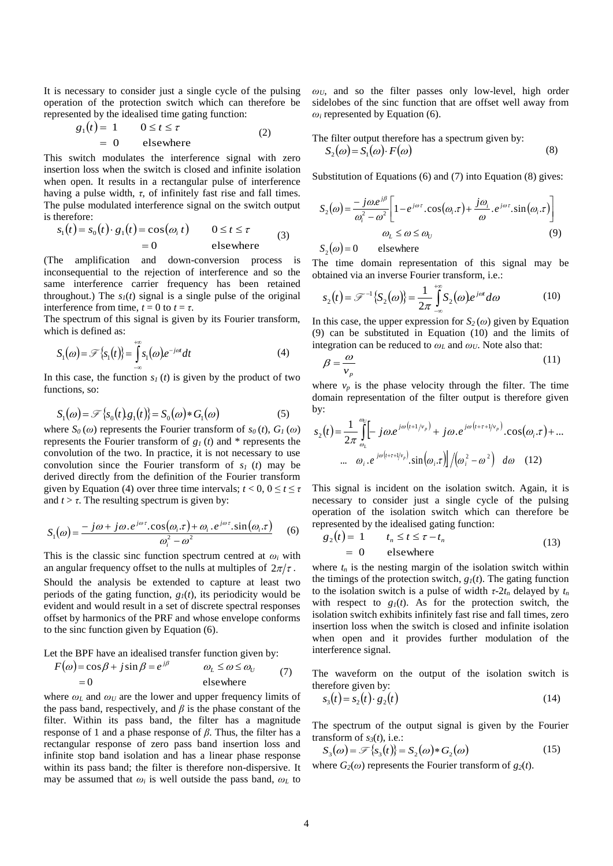It is necessary to consider just a single cycle of the pulsing operation of the protection switch which can therefore be represented by the idealised time gating function:

$$
g_1(t) = 1 \t 0 \le t \le \tau
$$
  
= 0 elsewhere (2)

This switch modulates the interference signal with zero insertion loss when the switch is closed and infinite isolation when open. It results in a rectangular pulse of interference having a pulse width,  $\tau$ , of infinitely fast rise and fall times. The pulse modulated interference signal on the switch output is therefore:

$$
s_1(t) = s_0(t) \cdot g_1(t) = \cos(\omega_t t) \qquad 0 \le t \le \tau
$$
  
= 0 \qquad \qquad \text{elsewhere} \qquad (3)

(The amplification and down-conversion process is inconsequential to the rejection of interference and so the same interference carrier frequency has been retained throughout.) The  $s_I(t)$  signal is a single pulse of the original interference from time,  $t = 0$  to  $t = \tau$ .

The spectrum of this signal is given by its Fourier transform, which is defined as:

$$
S_1(\omega) = \mathcal{F}\{s_1(t)\} = \int_{-\infty}^{+\infty} s_1(\omega)e^{-j\omega t} dt
$$
 (4)

In this case, the function  $s_I(t)$  is given by the product of two functions, so:

$$
S_1(\omega) = \mathcal{F}\left\{s_0(t)g_1(t)\right\} = S_0(\omega) * G_1(\omega) \tag{5}
$$

where  $S_0(\omega)$  represents the Fourier transform of  $s_0(t)$ ,  $G_1(\omega)$ represents the Fourier transform of *g1* (*t*) and \* represents the convolution of the two. In practice, it is not necessary to use convolution since the Fourier transform of *s1* (*t*) may be derived directly from the definition of the Fourier transform given by Equation (4) over three time intervals;  $t < 0$ ,  $0 \le t \le \tau$ and  $t > \tau$ . The resulting spectrum is given by:

$$
S_1(\omega) = \frac{-j\omega + j\omega \cdot e^{j\omega \tau} \cdot \cos(\omega_i \cdot \tau) + \omega_i \cdot e^{j\omega \tau} \cdot \sin(\omega_i \cdot \tau)}{\omega_i^2 - \omega^2} \tag{6}
$$

This is the classic sinc function spectrum centred at  $\omega_i$  with an angular frequency offset to the nulls at multiples of  $2\pi/\tau$ .

Should the analysis be extended to capture at least two periods of the gating function,  $g_I(t)$ , its periodicity would be evident and would result in a set of discrete spectral responses offset by harmonics of the PRF and whose envelope conforms to the sinc function given by Equation (6).

Let the BPF have an idealised transfer function given by:

$$
F(\omega) = \cos \beta + j \sin \beta = e^{j\beta} \qquad \omega_L \le \omega \le \omega_U \qquad (7)
$$
  
= 0 \qquad \qquad \text{elsewhere}

where  $\omega_L$  and  $\omega_U$  are the lower and upper frequency limits of the pass band, respectively, and  $\beta$  is the phase constant of the filter. Within its pass band, the filter has a magnitude response of 1 and a phase response of *β*. Thus, the filter has a rectangular response of zero pass band insertion loss and infinite stop band isolation and has a linear phase response within its pass band; the filter is therefore non-dispersive. It may be assumed that  $\omega_i$  is well outside the pass band,  $\omega_L$  to

*ωU*, and so the filter passes only low-level, high order sidelobes of the sinc function that are offset well away from  $\omega_i$  represented by Equation (6).

The filter output therefore has a spectrum given by:  $S(\omega) = S(\omega) E(\omega)$ 

$$
S_2(\omega) = S_1(\omega) \cdot F(\omega) \tag{8}
$$

Substitution of Equations (6) and (7) into Equation (8) gives:

$$
S_2(\omega) = \frac{-j\omega e^{j\beta}}{\omega_i^2 - \omega^2} \left[ 1 - e^{j\omega \tau} \cdot \cos(\omega_i \tau) + \frac{j\omega_i}{\omega} \cdot e^{j\omega \tau} \cdot \sin(\omega_i \tau) \right]
$$
  

$$
\omega_L \le \omega \le \omega_U
$$
 (9)

elsewhere  $S_2(\omega) =$ 

The time domain representation of this signal may be obtained via an inverse Fourier transform, i.e.:

$$
s_2(t) = \mathcal{F}^{-1}\{S_2(\omega)\} = \frac{1}{2\pi} \int_{-\infty}^{+\infty} S_2(\omega)e^{j\omega t} d\omega \tag{10}
$$

In this case, the upper expression for  $S_2(\omega)$  given by Equation (9) can be substituted in Equation (10) and the limits of integration can be reduced to  $\omega_L$  and  $\omega_U$ . Note also that:

$$
\beta = \frac{\omega}{v_p} \tag{11}
$$

where  $v_p$  is the phase velocity through the filter. The time domain representation of the filter output is therefore given by:

$$
s_2(t) = \frac{1}{2\pi} \int_{\omega_L}^{\omega_U} \left[ -j\omega e^{j\omega(t+1/\nu_p)} + j\omega e^{j\omega(t+\tau+1/\nu_p)} \cdot \cos(\omega_i \cdot \tau) + \dots \right]
$$
  
 
$$
\cdots \quad \omega_i \cdot e^{j\omega(t+\tau+1/\nu_p)} \cdot \sin(\omega_i \cdot \tau) \right] / (\omega_i^2 - \omega^2) \quad d\omega \quad (12)
$$

This signal is incident on the isolation switch. Again, it is necessary to consider just a single cycle of the pulsing operation of the isolation switch which can therefore be represented by the idealised gating function:

$$
g_2(t) = 1 \t t_n \le t \le \tau - t_n
$$
  
= 0 elsewhere (13)

where  $t_n$  is the nesting margin of the isolation switch within the timings of the protection switch,  $g_I(t)$ . The gating function to the isolation switch is a pulse of width  $\tau$ -2 $t_n$  delayed by  $t_n$ with respect to  $g_1(t)$ . As for the protection switch, the isolation switch exhibits infinitely fast rise and fall times, zero insertion loss when the switch is closed and infinite isolation when open and it provides further modulation of the interference signal.

The waveform on the output of the isolation switch is therefore given by:

$$
s_3(t) = s_2(t) \cdot g_2(t) \tag{14}
$$

The spectrum of the output signal is given by the Fourier transform of  $s_3(t)$ , i.e.:

$$
S_3(\omega) = \mathcal{F}\{s_3(t)\} = S_2(\omega) * G_2(\omega)
$$
 (15)

where  $G_2(\omega)$  represents the Fourier transform of  $g_2(t)$ .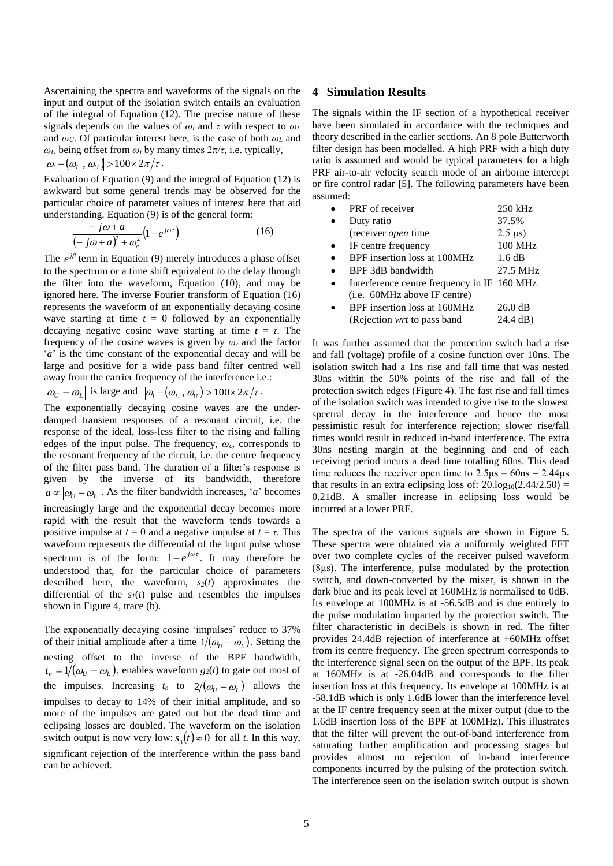Ascertaining the spectra and waveforms of the signals on the input and output of the isolation switch entails an evaluation of the integral of Equation (12). The precise nature of these signals depends on the values of  $\omega_i$  and  $\tau$  with respect to  $\omega_L$ and *ωU*. Of particular interest here, is the case of both *ω<sup>L</sup>* and *ωU* being offset from *ω*<sup>*i*</sup> by many times  $2π/τ$ , i.e. typically,

 $\omega_{i}$  -  $(\omega_{L}$  ,  $\omega_{U})$  > 100 × 2 $\pi/\tau$  . Evaluation of Equation (9) and the integral of Equation (12) is awkward but some general trends may be observed for the particular choice of parameter values of interest here that aid

understanding. Equation (9) is of the general form:  $(-j\omega + a)^2$  $(1-e^{j\omega\tau})$  $\omega + a_1 + \omega$  $\omega + a$   $\int_{1}^{1} e^{j}$ *c e j a*  $\frac{j\omega + a}{2}$   $\left(1 -j\omega+a)^2 +$  $\frac{-j\omega + a}{\omega + a^2 + \omega^2} \Big( 1$ (16)

The  $e^{i\beta}$  term in Equation (9) merely introduces a phase offset to the spectrum or a time shift equivalent to the delay through the filter into the waveform, Equation (10), and may be ignored here. The inverse Fourier transform of Equation (16) represents the waveform of an exponentially decaying cosine wave starting at time  $t = 0$  followed by an exponentially decaying negative cosine wave starting at time  $t = \tau$ . The frequency of the cosine waves is given by *ω<sup>c</sup>* and the factor '*a*' is the time constant of the exponential decay and will be large and positive for a wide pass band filter centred well away from the carrier frequency of the interference i.e.:

$$
|\omega_U - \omega_L|
$$
 is large and  $|\omega_i - (\omega_L, \omega_U)| > 100 \times 2\pi/\tau$ .

The exponentially decaying cosine waves are the underdamped transient responses of a resonant circuit, i.e. the response of the ideal, loss-less filter to the rising and falling edges of the input pulse. The frequency, *ωc*, corresponds to the resonant frequency of the circuit, i.e. the centre frequency of the filter pass band. The duration of a filter's response is given by the inverse of its bandwidth, therefore  $a \propto |\omega_{U} - \omega_{L}|$ . As the filter bandwidth increases, '*a*' becomes increasingly large and the exponential decay becomes more rapid with the result that the waveform tends towards a positive impulse at  $t = 0$  and a negative impulse at  $t = \tau$ . This waveform represents the differential of the input pulse whose spectrum is of the form:  $1 - e^{j\omega t}$ . It may therefore be understood that, for the particular choice of parameters described here, the waveform,  $s_2(t)$  approximates the differential of the  $s<sub>I</sub>(t)$  pulse and resembles the impulses shown in [Figure 4,](#page-2-1) trace (b).

The exponentially decaying cosine 'impulses' reduce to 37% of their initial amplitude after a time  $1/(\omega_U - \omega_L)$ . Setting the nesting offset to the inverse of the BPF bandwidth,  $t_n = 1/(\omega_U - \omega_L)$ , enables waveform  $g_2(t)$  to gate out most of the impulses. Increasing  $t_n$  to  $2/(\omega_U - \omega_L)$  allows the impulses to decay to 14% of their initial amplitude, and so more of the impulses are gated out but the dead time and eclipsing losses are doubled. The waveform on the isolation switch output is now very low:  $s_3(t) \approx 0$  for all *t*. In this way, significant rejection of the interference within the pass band can be achieved.

### **4 Simulation Results**

The signals within the IF section of a hypothetical receiver have been simulated in accordance with the techniques and theory described in the earlier sections. An 8 pole Butterworth filter design has been modelled. A high PRF with a high duty ratio is assumed and would be typical parameters for a high PRF air-to-air velocity search mode of an airborne intercept or fire control radar [\[5\].](#page-5-4) The following parameters have been assumed:

| PRF of receiver                             | 250 kHz           |
|---------------------------------------------|-------------------|
| Duty ratio                                  | 37.5%             |
| (receiver open time                         | $2.5 \,\mu s$ )   |
| IF centre frequency                         | 100 MHz           |
| BPF insertion loss at 100MHz                | 1.6 dB            |
| BPF 3dB bandwidth                           | 27.5 MHz          |
| Interference centre frequency in IF 160 MHz |                   |
| (i.e. 60MHz above IF centre)                |                   |
| BPF insertion loss at 160MHz                | $26.0 \text{ dB}$ |
| (Rejection <i>wrt</i> to pass band          | 24.4 dB)          |

It was further assumed that the protection switch had a rise and fall (voltage) profile of a cosine function over 10ns. The isolation switch had a 1ns rise and fall time that was nested 30ns within the 50% points of the rise and fall of the protection switch edges [\(Figure 4\)](#page-2-1). The fast rise and fall times of the isolation switch was intended to give rise to the slowest spectral decay in the interference and hence the most pessimistic result for interference rejection; slower rise/fall times would result in reduced in-band interference. The extra 30ns nesting margin at the beginning and end of each receiving period incurs a dead time totalling 60ns. This dead time reduces the receiver open time to  $2.5\mu s - 60ns = 2.44\mu s$ that results in an extra eclipsing loss of:  $20.log_{10}(2.44/2.50)$  = 0.21dB. A smaller increase in eclipsing loss would be incurred at a lower PRF.

The spectra of the various signals are shown in [Figure 5.](#page-5-5) These spectra were obtained via a uniformly weighted FFT over two complete cycles of the receiver pulsed waveform (8μs). The interference, pulse modulated by the protection switch, and down-converted by the mixer, is shown in the dark blue and its peak level at 160MHz is normalised to 0dB. Its envelope at 100MHz is at -56.5dB and is due entirely to the pulse modulation imparted by the protection switch. The filter characteristic in deciBels is shown in red. The filter provides 24.4dB rejection of interference at +60MHz offset from its centre frequency. The green spectrum corresponds to the interference signal seen on the output of the BPF. Its peak at 160MHz is at -26.04dB and corresponds to the filter insertion loss at this frequency. Its envelope at 100MHz is at -58.1dB which is only 1.6dB lower than the interference level at the IF centre frequency seen at the mixer output (due to the 1.6dB insertion loss of the BPF at 100MHz). This illustrates that the filter will prevent the out-of-band interference from saturating further amplification and processing stages but provides almost no rejection of in-band interference components incurred by the pulsing of the protection switch. The interference seen on the isolation switch output is shown